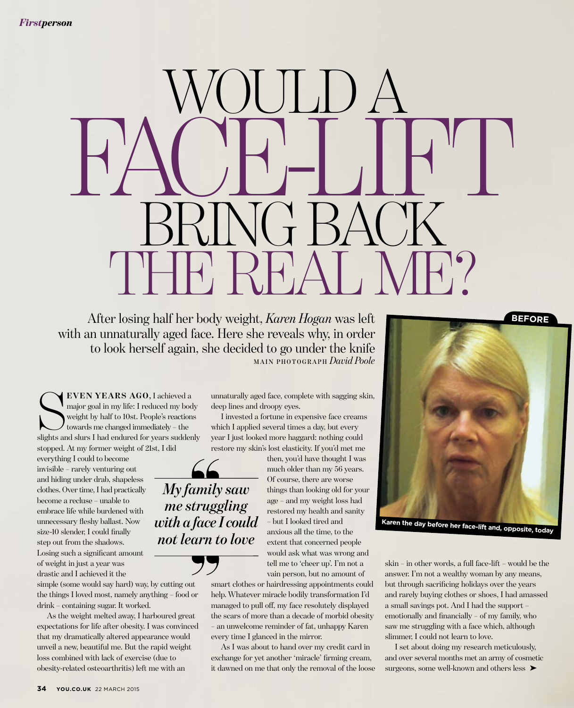## FACE-LIFT WOULD A BRING BACK THE REAL ME?

After losing half her body weight, *Karen Hogan* was left with an unnaturally aged face. Here she reveals why, in order to look herself again, she decided to go under the knife **main photograph** *David Poole* 

EVEN YEARS AGO, I achieved a<br>
major goal in my life: I reduced my body<br>
weight by half to 10st. People's reactions<br>
slights and slurs I had endured for years suddenly **EVEN YEARS AGO, I achieved a** major goal in my life: I reduced my body weight by half to 10st. People's reactions towards me changed immediately – the stopped. At my former weight of 21st, I did

everything I could to become invisible – rarely venturing out and hiding under drab, shapeless clothes. Over time, I had practically become a recluse – unable to embrace life while burdened with unnecessary fleshy ballast. Now size-10 slender, I could finally step out from the shadows. Losing such a significant amount of weight in just a year was drastic and I achieved it the

simple (some would say hard) way, by cutting out the things I loved most, namely anything – food or drink – containing sugar. It worked.

As the weight melted away, I harboured great expectations for life after obesity. I was convinced that my dramatically altered appearance would unveil a new, beautiful me. But the rapid weight loss combined with lack of exercise (due to obesity-related osteoarthritis) left me with an

unnaturally aged face, complete with sagging skin, deep lines and droopy eyes.

I invested a fortune in expensive face creams which I applied several times a day, but every year I just looked more haggard: nothing could restore my skin's lost elasticity. If you'd met me





then, you'd have thought I was much older than my 56 years. Of course, there are worse things than looking old for your age – and my weight loss had restored my health and sanity – but I looked tired and anxious all the time, to the extent that concerned people would ask what was wrong and tell me to 'cheer up'. I'm not a vain person, but no amount of

smart clothes or hairdressing appointments could help. Whatever miracle bodily transformation I'd managed to pull off, my face resolutely displayed the scars of more than a decade of morbid obesity – an unwelcome reminder of fat, unhappy Karen every time I glanced in the mirror.

As I was about to hand over my credit card in exchange for yet another 'miracle' firming cream, it dawned on me that only the removal of the loose



skin – in other words, a full face-lift – would be the answer. I'm not a wealthy woman by any means, but through sacrificing holidays over the years and rarely buying clothes or shoes, I had amassed a small savings pot. And I had the support – emotionally and financially – of my family, who saw me struggling with a face which, although slimmer, I could not learn to love.

surgeons, some well-known and others less  $\blacktriangleright$ I set about doing my research meticulously, and over several months met an army of cosmetic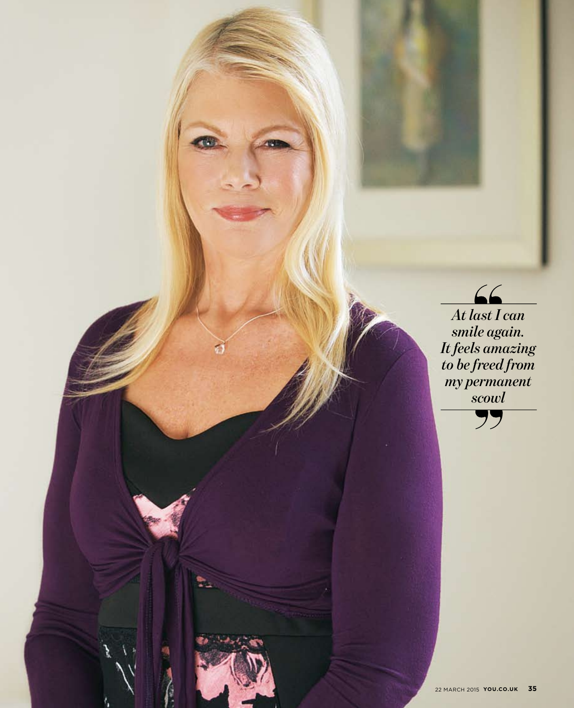